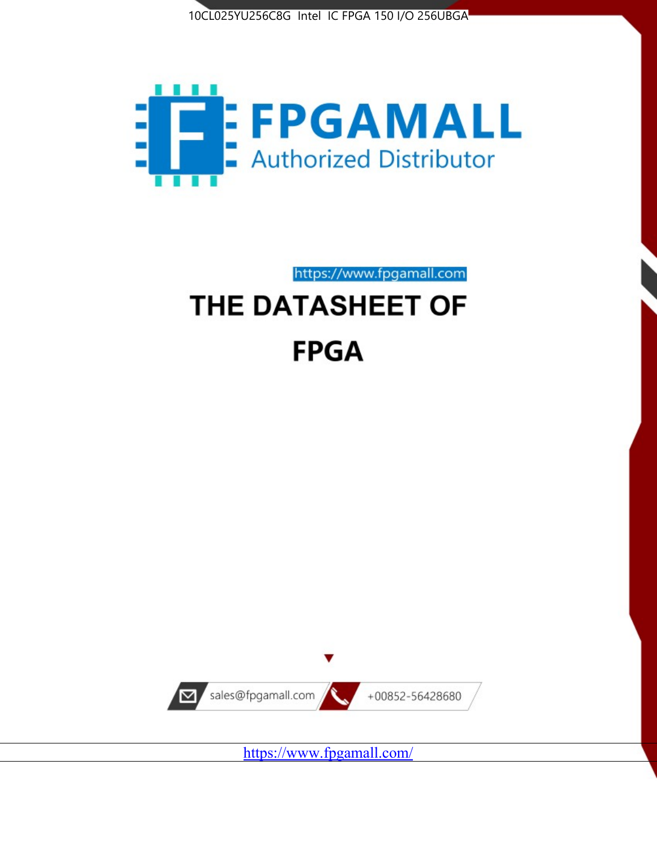



# https://www.fpgamall.com THE DATASHEET OF **FPGA**



https://www.fpgamall.com/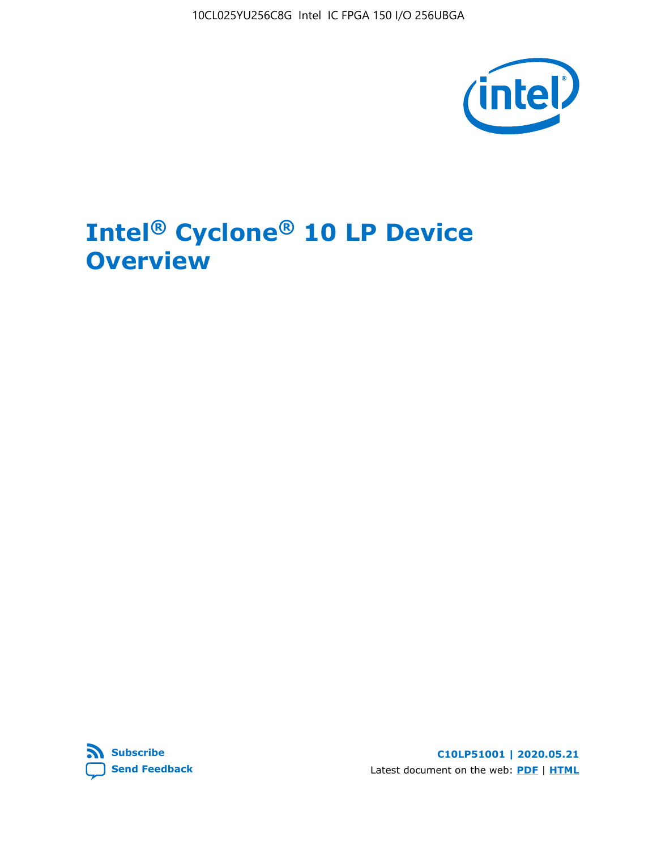10CL025YU256C8G Intel IC FPGA 150 I/O 256UBGA



# **Intel® Cyclone® 10 LP Device Overview**



**C10LP51001 | 2020.05.21** Latest document on the web: **[PDF](https://www.intel.com/content/dam/www/programmable/us/en/pdfs/literature/hb/cyclone-10/c10lp-51001.pdf)** | **[HTML](https://www.intel.com/content/www/us/en/programmable/documentation/hci1490246873896.html)**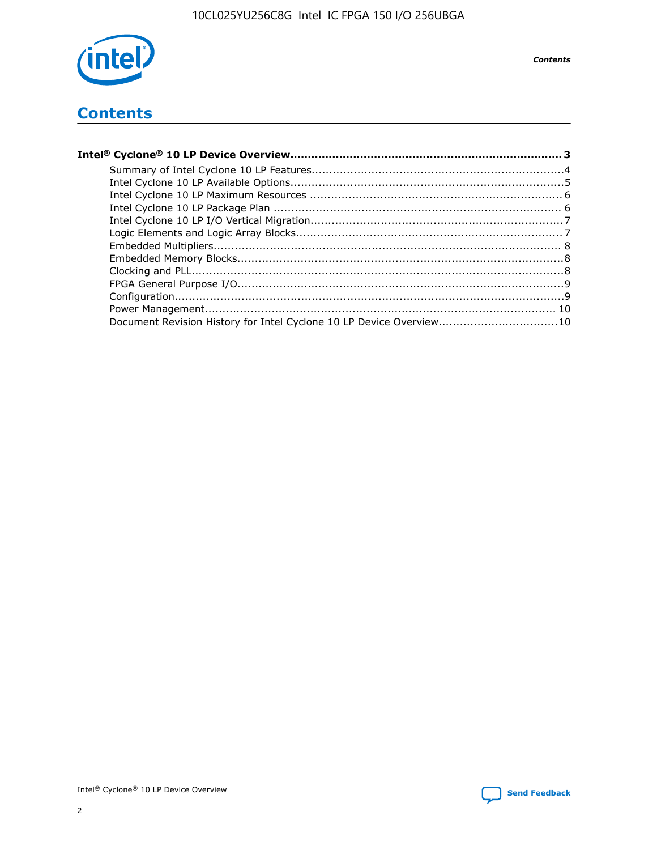

**Contents** 

## **Contents**

| Document Revision History for Intel Cyclone 10 LP Device Overview10 |  |
|---------------------------------------------------------------------|--|

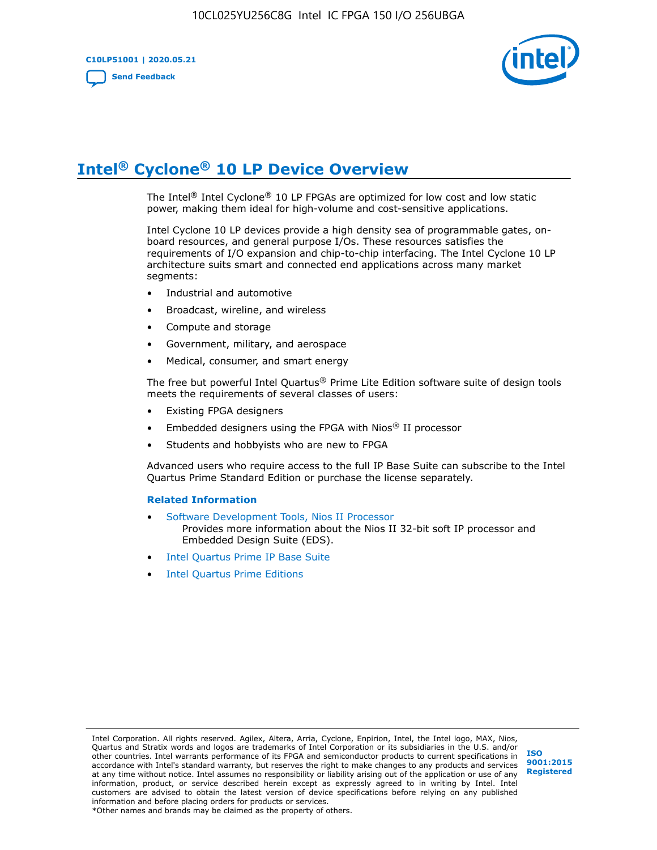**C10LP51001 | 2020.05.21 [Send Feedback](mailto:FPGAtechdocfeedback@intel.com?subject=Feedback%20on%20Intel%20Cyclone%2010%20LP%20Device%20Overview%20(C10LP51001%202020.05.21)&body=We%20appreciate%20your%20feedback.%20In%20your%20comments,%20also%20specify%20the%20page%20number%20or%20paragraph.%20Thank%20you.)**



## **Intel® Cyclone® 10 LP Device Overview**

The Intel® Intel Cyclone® 10 LP FPGAs are optimized for low cost and low static power, making them ideal for high-volume and cost-sensitive applications.

Intel Cyclone 10 LP devices provide a high density sea of programmable gates, onboard resources, and general purpose I/Os. These resources satisfies the requirements of I/O expansion and chip-to-chip interfacing. The Intel Cyclone 10 LP architecture suits smart and connected end applications across many market segments:

- Industrial and automotive
- Broadcast, wireline, and wireless
- Compute and storage
- Government, military, and aerospace
- Medical, consumer, and smart energy

The free but powerful Intel Quartus® Prime Lite Edition software suite of design tools meets the requirements of several classes of users:

- Existing FPGA designers
- Embedded designers using the FPGA with Nios® II processor
- Students and hobbyists who are new to FPGA

Advanced users who require access to the full IP Base Suite can subscribe to the Intel Quartus Prime Standard Edition or purchase the license separately.

#### **Related Information**

- [Software Development Tools, Nios II Processor](https://www.altera.com/products/processors/design-tools.html) Provides more information about the Nios II 32-bit soft IP processor and Embedded Design Suite (EDS).
- [Intel Quartus Prime IP Base Suite](https://www.altera.com/products/intellectual-property/design/ip-base-suite.html)
- **[Intel Quartus Prime Editions](https://www.altera.com/products/design-software/fpga-design/quartus-prime/download.html)**

Intel Corporation. All rights reserved. Agilex, Altera, Arria, Cyclone, Enpirion, Intel, the Intel logo, MAX, Nios, Quartus and Stratix words and logos are trademarks of Intel Corporation or its subsidiaries in the U.S. and/or other countries. Intel warrants performance of its FPGA and semiconductor products to current specifications in accordance with Intel's standard warranty, but reserves the right to make changes to any products and services at any time without notice. Intel assumes no responsibility or liability arising out of the application or use of any information, product, or service described herein except as expressly agreed to in writing by Intel. Intel customers are advised to obtain the latest version of device specifications before relying on any published information and before placing orders for products or services.

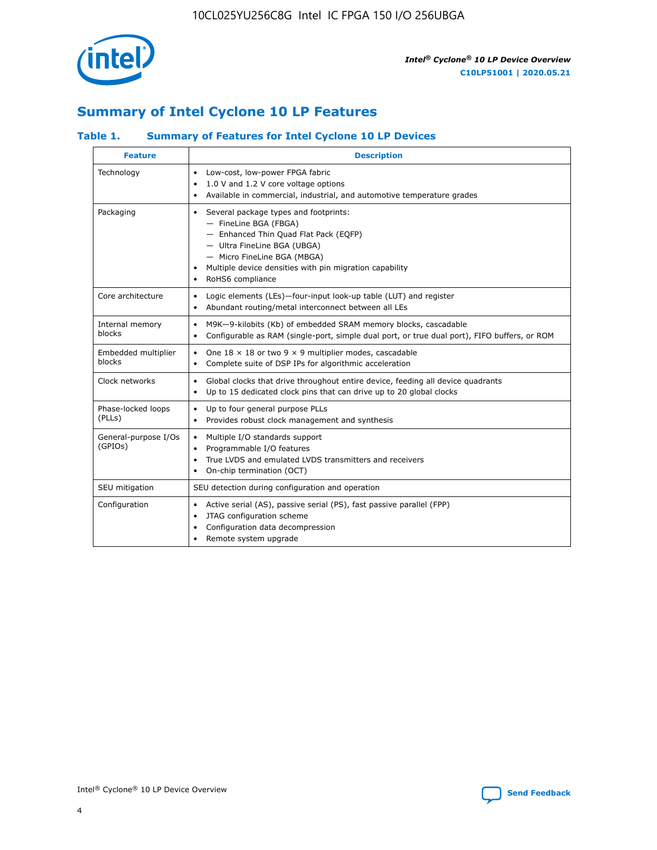

## **Summary of Intel Cyclone 10 LP Features**

### **Table 1. Summary of Features for Intel Cyclone 10 LP Devices**

| <b>Feature</b>                  | <b>Description</b>                                                                                                                                                                                                                                        |
|---------------------------------|-----------------------------------------------------------------------------------------------------------------------------------------------------------------------------------------------------------------------------------------------------------|
| Technology                      | Low-cost, low-power FPGA fabric<br>$\bullet$<br>1.0 V and 1.2 V core voltage options<br>Available in commercial, industrial, and automotive temperature grades                                                                                            |
| Packaging                       | Several package types and footprints:<br>٠<br>- FineLine BGA (FBGA)<br>- Enhanced Thin Quad Flat Pack (EQFP)<br>- Ultra FineLine BGA (UBGA)<br>- Micro FineLine BGA (MBGA)<br>Multiple device densities with pin migration capability<br>RoHS6 compliance |
| Core architecture               | Logic elements (LEs)-four-input look-up table (LUT) and register<br>$\bullet$<br>Abundant routing/metal interconnect between all LEs<br>٠                                                                                                                 |
| Internal memory<br>blocks       | M9K-9-kilobits (Kb) of embedded SRAM memory blocks, cascadable<br>$\bullet$<br>Configurable as RAM (single-port, simple dual port, or true dual port), FIFO buffers, or ROM<br>٠                                                                          |
| Embedded multiplier<br>blocks   | One $18 \times 18$ or two 9 $\times$ 9 multiplier modes, cascadable<br>$\bullet$<br>Complete suite of DSP IPs for algorithmic acceleration<br>$\bullet$                                                                                                   |
| Clock networks                  | Global clocks that drive throughout entire device, feeding all device quadrants<br>٠<br>Up to 15 dedicated clock pins that can drive up to 20 global clocks<br>٠                                                                                          |
| Phase-locked loops<br>(PLLs)    | Up to four general purpose PLLs<br>٠<br>Provides robust clock management and synthesis<br>$\bullet$                                                                                                                                                       |
| General-purpose I/Os<br>(GPIOs) | Multiple I/O standards support<br>$\bullet$<br>Programmable I/O features<br>$\bullet$<br>True LVDS and emulated LVDS transmitters and receivers<br>٠<br>On-chip termination (OCT)<br>٠                                                                    |
| SEU mitigation                  | SEU detection during configuration and operation                                                                                                                                                                                                          |
| Configuration                   | Active serial (AS), passive serial (PS), fast passive parallel (FPP)<br>٠<br>JTAG configuration scheme<br>$\bullet$<br>Configuration data decompression<br>Remote system upgrade<br>٠                                                                     |

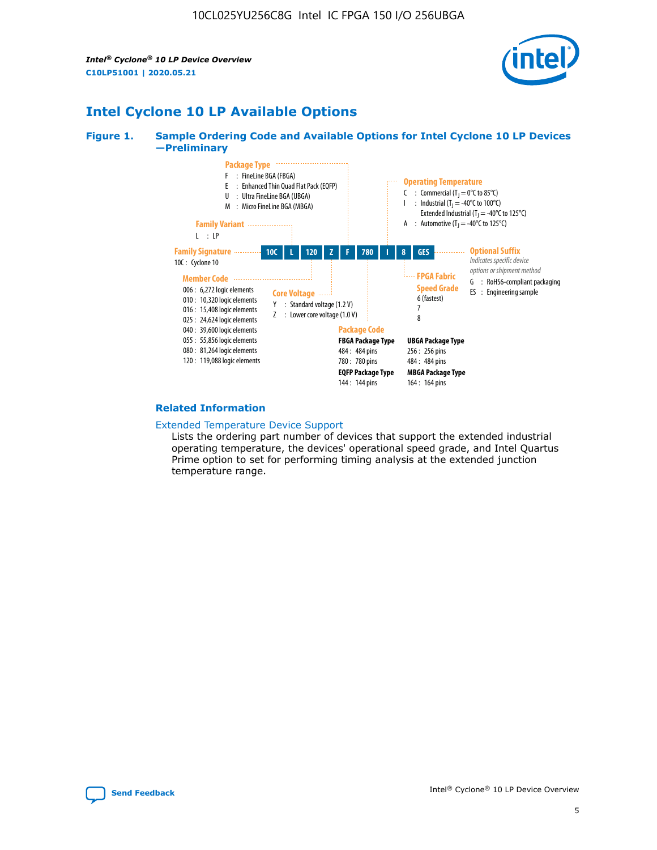

## **Intel Cyclone 10 LP Available Options**

#### **Figure 1. Sample Ordering Code and Available Options for Intel Cyclone 10 LP Devices —Preliminary**



#### **Related Information**

#### [Extended Temperature Device Support](https://www.intel.com/content/www/us/en/products/programmable/temperature.html)

Lists the ordering part number of devices that support the extended industrial operating temperature, the devices' operational speed grade, and Intel Quartus Prime option to set for performing timing analysis at the extended junction temperature range.

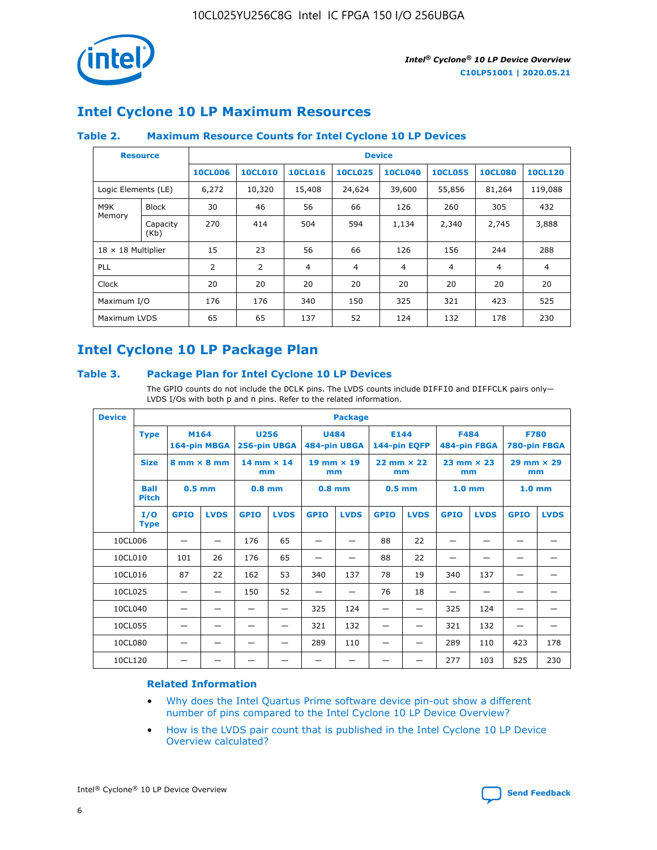

## **Intel Cyclone 10 LP Maximum Resources**

### **Table 2. Maximum Resource Counts for Intel Cyclone 10 LP Devices**

|                           | <b>Resource</b>  | <b>Device</b>  |                |                |                |                |                |                |                |
|---------------------------|------------------|----------------|----------------|----------------|----------------|----------------|----------------|----------------|----------------|
|                           |                  | <b>10CL006</b> | <b>10CL010</b> | <b>10CL016</b> | <b>10CL025</b> | <b>10CL040</b> | <b>10CL055</b> | <b>10CL080</b> | <b>10CL120</b> |
| Logic Elements (LE)       |                  | 6,272          | 10,320         | 15,408         | 24,624         | 39,600         | 55,856         | 81,264         | 119,088        |
| M9K                       | <b>Block</b>     | 30             | 46             | 56             | 66             | 126            | 260            | 305            | 432            |
| Memory                    | Capacity<br>(Kb) | 270            | 414            | 504            | 594            | 1,134          | 2,340          | 2,745          | 3,888          |
| $18 \times 18$ Multiplier |                  | 15             | 23             | 56             | 66             | 126            | 156            | 244            | 288            |
| <b>PLL</b>                |                  | 2              | 2              | 4              | 4              | $\overline{4}$ | 4              | $\overline{4}$ | 4              |
| Clock                     |                  | 20             | 20             | 20             | 20             | 20             | 20             | 20             | 20             |
| Maximum I/O               |                  | 176            | 176            | 340            | 150            | 325            | 321            | 423            | 525            |
| Maximum LVDS              |                  | 65             | 65             | 137            | 52             | 124            | 132            | 178            | 230            |

## **Intel Cyclone 10 LP Package Plan**

#### **Table 3. Package Plan for Intel Cyclone 10 LP Devices**

The GPIO counts do not include the DCLK pins. The LVDS counts include DIFFIO and DIFFCLK pairs only-LVDS I/Os with both p and n pins. Refer to the related information.

| <b>Device</b> |                                                   | <b>Package</b> |              |                                                        |             |                             |             |                           |             |                           |              |                             |             |
|---------------|---------------------------------------------------|----------------|--------------|--------------------------------------------------------|-------------|-----------------------------|-------------|---------------------------|-------------|---------------------------|--------------|-----------------------------|-------------|
| <b>Type</b>   |                                                   | M164           | 164-pin MBGA | 256-pin UBGA                                           | <b>U256</b> | <b>U484</b><br>484-pin UBGA |             | E144<br>144-pin EQFP      |             | <b>F484</b>               | 484-pin FBGA | <b>F780</b><br>780-pin FBGA |             |
|               | <b>Size</b><br>$8 \text{ mm} \times 8 \text{ mm}$ |                |              | $14$ mm $\times$ 14<br>$19$ mm $\times$ 19<br>mm<br>mm |             | $22$ mm $\times$ 22<br>mm   |             | $23$ mm $\times$ 23<br>mm |             | $29$ mm $\times$ 29<br>mm |              |                             |             |
|               | <b>Ball</b><br><b>Pitch</b>                       | $0.5$ mm       |              | $0.8$ mm                                               |             | $0.8$ mm                    |             | $0.5$ mm                  |             | 1.0 <sub>mm</sub>         |              | 1.0 <sub>mm</sub>           |             |
|               | I/O<br><b>Type</b>                                | <b>GPIO</b>    | <b>LVDS</b>  | <b>GPIO</b>                                            | <b>LVDS</b> | <b>GPIO</b>                 | <b>LVDS</b> | <b>GPIO</b>               | <b>LVDS</b> | <b>GPIO</b>               | <b>LVDS</b>  | <b>GPIO</b>                 | <b>LVDS</b> |
| 10CL006       |                                                   |                |              | 176                                                    | 65          |                             |             | 88                        | 22          |                           |              |                             |             |
| 10CL010       |                                                   | 101            | 26           | 176                                                    | 65          |                             |             | 88                        | 22          |                           |              |                             |             |
| 10CL016       |                                                   | 87             | 22           | 162                                                    | 53          | 340                         | 137         | 78                        | 19          | 340                       | 137          |                             |             |
| 10CL025       |                                                   | —              | —            | 150                                                    | 52          | —                           |             | 76                        | 18          | -                         | —            |                             |             |
| 10CL040       |                                                   |                |              |                                                        |             | 325                         | 124         |                           |             | 325                       | 124          |                             |             |
| 10CL055       |                                                   |                |              |                                                        |             | 321                         | 132         |                           |             | 321                       | 132          |                             |             |
| 10CL080       |                                                   |                |              |                                                        |             | 289                         | 110         |                           |             | 289                       | 110          | 423                         | 178         |
| 10CL120       |                                                   |                |              |                                                        |             |                             |             |                           |             | 277                       | 103          | 525                         | 230         |

#### **Related Information**

- [Why does the Intel Quartus Prime software device pin-out show a different](https://www.intel.com/content/altera-www/global/en_us/index/support/support-resources/knowledge-base/component/2020/why-does-intel--quartus--device-pinout-pin-count-shows-a-differe0.html) [number of pins compared to the Intel Cyclone 10 LP Device Overview?](https://www.intel.com/content/altera-www/global/en_us/index/support/support-resources/knowledge-base/component/2020/why-does-intel--quartus--device-pinout-pin-count-shows-a-differe0.html)
- [How is the LVDS pair count that is published in the Intel Cyclone 10 LP Device](https://www.intel.com/content/altera-www/global/en_us/index/support/support-resources/knowledge-base/component/2020/how-is-the-lvds-pair-count-in-intel--cyclone--10-device-overview.html) [Overview calculated?](https://www.intel.com/content/altera-www/global/en_us/index/support/support-resources/knowledge-base/component/2020/how-is-the-lvds-pair-count-in-intel--cyclone--10-device-overview.html)



Intel<sup>®</sup> Cyclone<sup>®</sup> 10 LP Device Overview **[Send Feedback](mailto:FPGAtechdocfeedback@intel.com?subject=Feedback%20on%20Intel%20Cyclone%2010%20LP%20Device%20Overview%20(C10LP51001%202020.05.21)&body=We%20appreciate%20your%20feedback.%20In%20your%20comments,%20also%20specify%20the%20page%20number%20or%20paragraph.%20Thank%20you.)** Send Feedback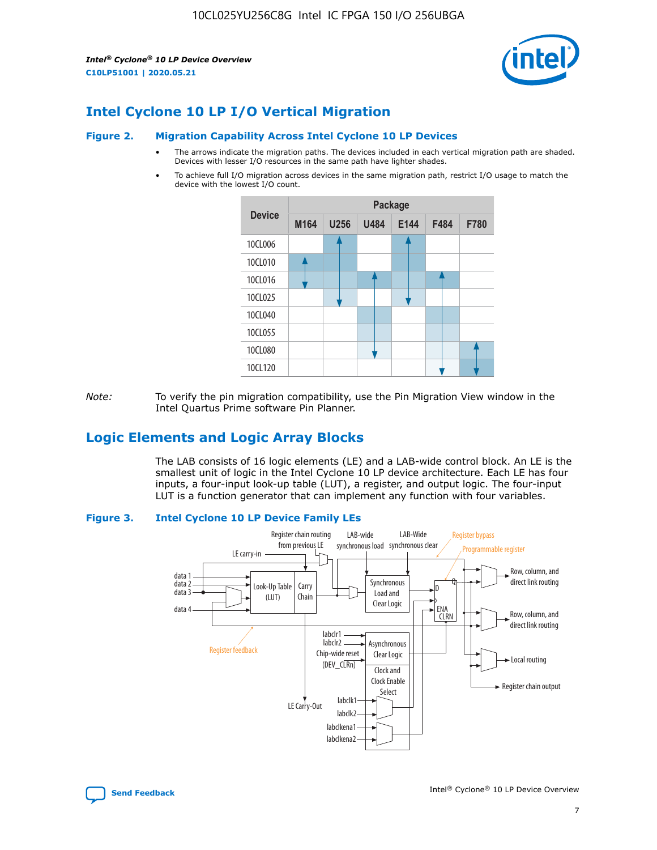

## **Intel Cyclone 10 LP I/O Vertical Migration**

#### **Figure 2. Migration Capability Across Intel Cyclone 10 LP Devices**

- The arrows indicate the migration paths. The devices included in each vertical migration path are shaded. Devices with lesser I/O resources in the same path have lighter shades.
- To achieve full I/O migration across devices in the same migration path, restrict I/O usage to match the device with the lowest I/O count.



*Note:* To verify the pin migration compatibility, use the Pin Migration View window in the Intel Quartus Prime software Pin Planner.

## **Logic Elements and Logic Array Blocks**

The LAB consists of 16 logic elements (LE) and a LAB-wide control block. An LE is the smallest unit of logic in the Intel Cyclone 10 LP device architecture. Each LE has four inputs, a four-input look-up table (LUT), a register, and output logic. The four-input LUT is a function generator that can implement any function with four variables.

#### **Figure 3. Intel Cyclone 10 LP Device Family LEs**



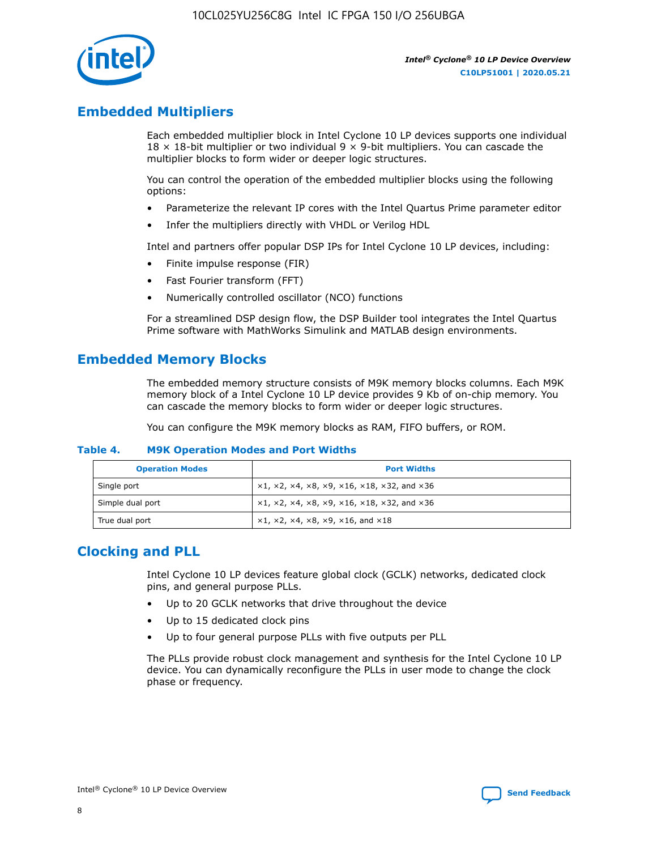

## **Embedded Multipliers**

Each embedded multiplier block in Intel Cyclone 10 LP devices supports one individual  $18 \times 18$ -bit multiplier or two individual 9  $\times$  9-bit multipliers. You can cascade the multiplier blocks to form wider or deeper logic structures.

You can control the operation of the embedded multiplier blocks using the following options:

- Parameterize the relevant IP cores with the Intel Quartus Prime parameter editor
- Infer the multipliers directly with VHDL or Verilog HDL

Intel and partners offer popular DSP IPs for Intel Cyclone 10 LP devices, including:

- Finite impulse response (FIR)
- Fast Fourier transform (FFT)
- Numerically controlled oscillator (NCO) functions

For a streamlined DSP design flow, the DSP Builder tool integrates the Intel Quartus Prime software with MathWorks Simulink and MATLAB design environments.

## **Embedded Memory Blocks**

The embedded memory structure consists of M9K memory blocks columns. Each M9K memory block of a Intel Cyclone 10 LP device provides 9 Kb of on-chip memory. You can cascade the memory blocks to form wider or deeper logic structures.

You can configure the M9K memory blocks as RAM, FIFO buffers, or ROM.

#### **Table 4. M9K Operation Modes and Port Widths**

| <b>Operation Modes</b> | <b>Port Widths</b>                           |
|------------------------|----------------------------------------------|
| Single port            | $x1, x2, x4, x8, x9, x16, x18, x32, and x36$ |
| Simple dual port       | $x1, x2, x4, x8, x9, x16, x18, x32, and x36$ |
| True dual port         | x1, x2, x4, x8, x9, x16, and x18             |

## **Clocking and PLL**

Intel Cyclone 10 LP devices feature global clock (GCLK) networks, dedicated clock pins, and general purpose PLLs.

- Up to 20 GCLK networks that drive throughout the device
- Up to 15 dedicated clock pins
- Up to four general purpose PLLs with five outputs per PLL

The PLLs provide robust clock management and synthesis for the Intel Cyclone 10 LP device. You can dynamically reconfigure the PLLs in user mode to change the clock phase or frequency.

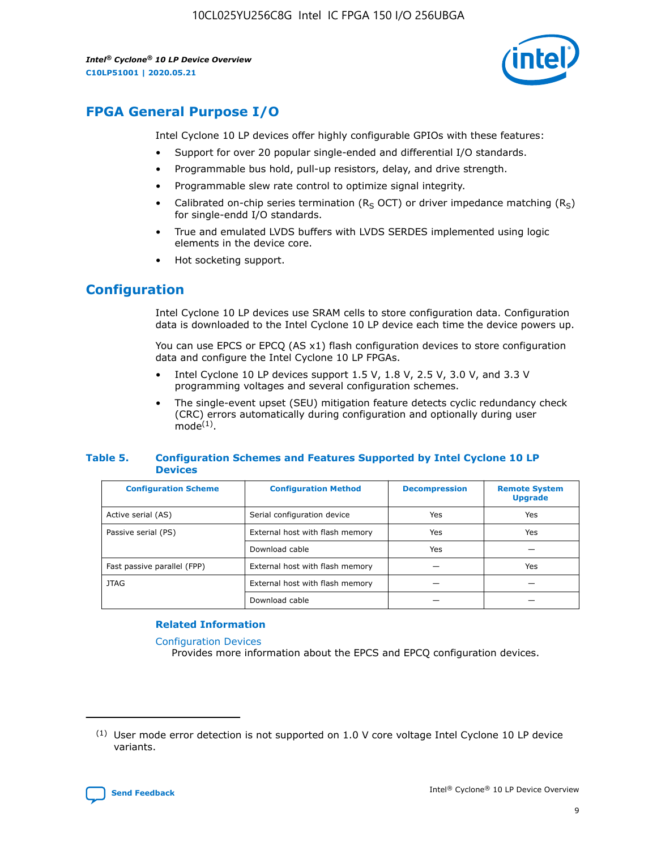

## **FPGA General Purpose I/O**

Intel Cyclone 10 LP devices offer highly configurable GPIOs with these features:

- Support for over 20 popular single-ended and differential I/O standards.
- Programmable bus hold, pull-up resistors, delay, and drive strength.
- Programmable slew rate control to optimize signal integrity.
- Calibrated on-chip series termination ( $R<sub>S</sub>$  OCT) or driver impedance matching ( $R<sub>S</sub>$ ) for single-endd I/O standards.
- True and emulated LVDS buffers with LVDS SERDES implemented using logic elements in the device core.
- Hot socketing support.

## **Configuration**

Intel Cyclone 10 LP devices use SRAM cells to store configuration data. Configuration data is downloaded to the Intel Cyclone 10 LP device each time the device powers up.

You can use EPCS or EPCQ (AS x1) flash configuration devices to store configuration data and configure the Intel Cyclone 10 LP FPGAs.

- Intel Cyclone 10 LP devices support 1.5 V, 1.8 V, 2.5 V, 3.0 V, and 3.3 V programming voltages and several configuration schemes.
- The single-event upset (SEU) mitigation feature detects cyclic redundancy check (CRC) errors automatically during configuration and optionally during user  $mode<sup>(1)</sup>$ .

#### **Table 5. Configuration Schemes and Features Supported by Intel Cyclone 10 LP Devices**

| <b>Configuration Scheme</b> | <b>Configuration Method</b>     | <b>Decompression</b> | <b>Remote System</b><br><b>Upgrade</b> |  |
|-----------------------------|---------------------------------|----------------------|----------------------------------------|--|
| Active serial (AS)          | Serial configuration device     | Yes                  | Yes                                    |  |
| Passive serial (PS)         | External host with flash memory | Yes                  | Yes                                    |  |
|                             | Download cable                  | Yes                  |                                        |  |
| Fast passive parallel (FPP) | External host with flash memory |                      | Yes                                    |  |
| <b>JTAG</b>                 | External host with flash memory |                      |                                        |  |
|                             | Download cable                  |                      |                                        |  |

#### **Related Information**

[Configuration Devices](https://www.altera.com/products/configuration-devices/overview.html)

Provides more information about the EPCS and EPCQ configuration devices.

 $(1)$  User mode error detection is not supported on 1.0 V core voltage Intel Cyclone 10 LP device variants.

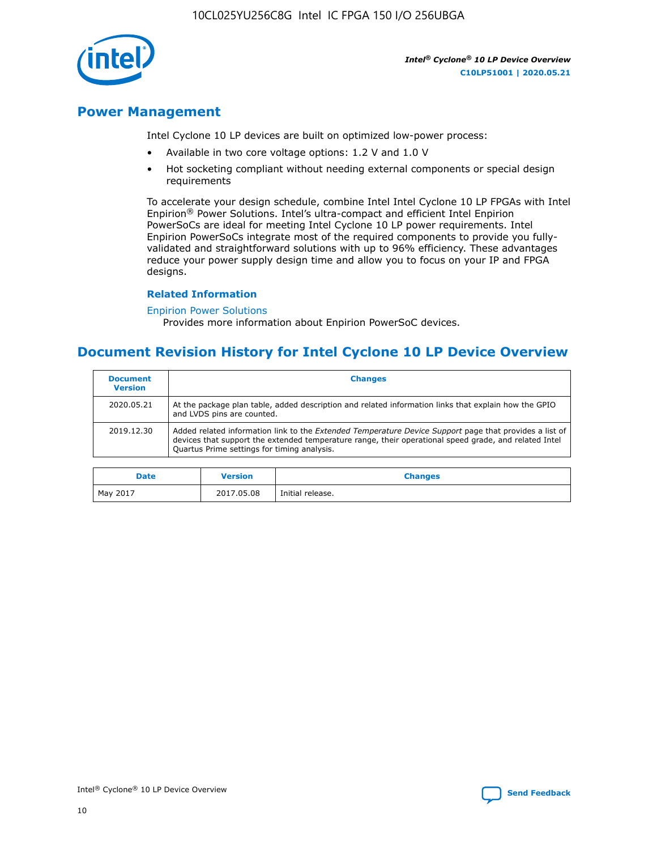

## **Power Management**

Intel Cyclone 10 LP devices are built on optimized low-power process:

- Available in two core voltage options: 1.2 V and 1.0 V
- Hot socketing compliant without needing external components or special design requirements

To accelerate your design schedule, combine Intel Intel Cyclone 10 LP FPGAs with Intel Enpirion® Power Solutions. Intel's ultra-compact and efficient Intel Enpirion PowerSoCs are ideal for meeting Intel Cyclone 10 LP power requirements. Intel Enpirion PowerSoCs integrate most of the required components to provide you fullyvalidated and straightforward solutions with up to 96% efficiency. These advantages reduce your power supply design time and allow you to focus on your IP and FPGA designs.

#### **Related Information**

#### [Enpirion Power Solutions](https://www.altera.com/products/power/devices.html)

Provides more information about Enpirion PowerSoC devices.

## **Document Revision History for Intel Cyclone 10 LP Device Overview**

| <b>Document</b><br><b>Version</b> | <b>Changes</b>                                                                                                                                                                                                                                                        |
|-----------------------------------|-----------------------------------------------------------------------------------------------------------------------------------------------------------------------------------------------------------------------------------------------------------------------|
| 2020.05.21                        | At the package plan table, added description and related information links that explain how the GPIO<br>and LVDS pins are counted.                                                                                                                                    |
| 2019.12.30                        | Added related information link to the <i>Extended Temperature Device Support</i> page that provides a list of<br>devices that support the extended temperature range, their operational speed grade, and related Intel<br>Quartus Prime settings for timing analysis. |

| <b>Date</b> | <b>Version</b> | <b>Changes</b>   |
|-------------|----------------|------------------|
| May 2017    | 2017.05.08     | Initial release. |